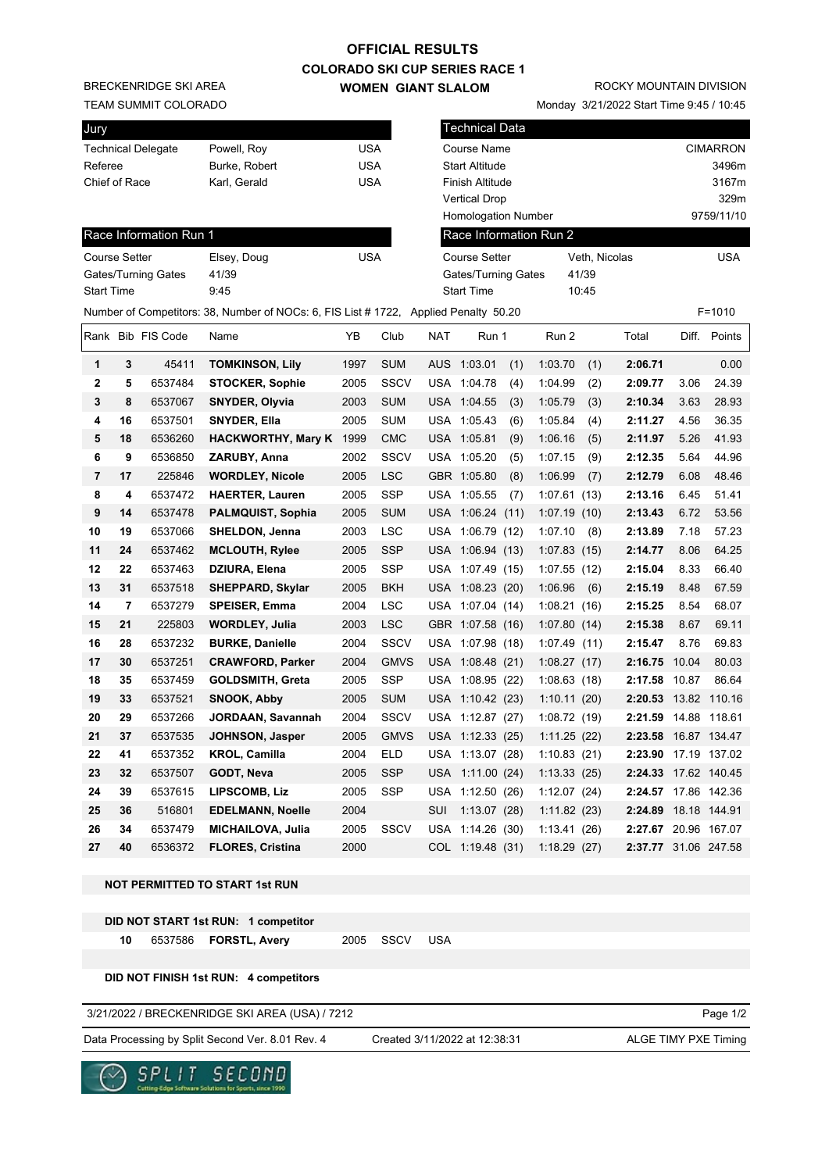# **COLORADO SKI CUP SERIES RACE 1 WOMEN GIANT SLALOM OFFICIAL RESULTS**

BRECKENRIDGE SKI AREA

TEAM SUMMIT COLORADO

| Jury                      |               |     |
|---------------------------|---------------|-----|
| <b>Technical Delegate</b> | Powell, Roy   | USA |
| Referee                   | Burke, Robert | USA |
| Chief of Race             | Karl, Gerald  | USA |
|                           |               |     |

Monday 3/21/2022 Start Time 9:45 / 10:45

| Jury                 |    |                           |                                                                                      |            |             |            | Technical Data        |     |                        |       |                      |            |                 |
|----------------------|----|---------------------------|--------------------------------------------------------------------------------------|------------|-------------|------------|-----------------------|-----|------------------------|-------|----------------------|------------|-----------------|
|                      |    | <b>Technical Delegate</b> | Powell, Roy                                                                          | <b>USA</b> |             |            | Course Name           |     |                        |       |                      |            | <b>CIMARRON</b> |
| Referee              |    |                           | Burke, Robert                                                                        | <b>USA</b> |             |            | <b>Start Altitude</b> |     |                        |       |                      |            | 3496m           |
| Chief of Race        |    |                           | Karl, Gerald                                                                         | <b>USA</b> |             |            | Finish Altitude       |     |                        |       |                      |            | 3167m           |
|                      |    |                           |                                                                                      |            |             |            | <b>Vertical Drop</b>  |     |                        |       |                      |            | 329m            |
|                      |    |                           |                                                                                      |            |             |            | Homologation Number   |     |                        |       |                      |            | 9759/11/10      |
|                      |    | Race Information Run 1    |                                                                                      |            |             |            |                       |     | Race Information Run 2 |       |                      |            |                 |
| <b>Course Setter</b> |    |                           | Elsey, Doug                                                                          | <b>USA</b> |             |            | <b>Course Setter</b>  |     | Veth, Nicolas          |       |                      | <b>USA</b> |                 |
|                      |    | Gates/Turning Gates       | 41/39                                                                                |            |             |            | Gates/Turning Gates   |     |                        | 41/39 |                      |            |                 |
| <b>Start Time</b>    |    |                           | 9:45                                                                                 |            |             |            | <b>Start Time</b>     |     |                        | 10:45 |                      |            |                 |
|                      |    |                           | Number of Competitors: 38, Number of NOCs: 6, FIS List # 1722, Applied Penalty 50.20 |            |             |            |                       |     |                        |       |                      |            | $F = 1010$      |
|                      |    | Rank Bib FIS Code         | Name                                                                                 | YΒ         | Club        | <b>NAT</b> | Run 1                 |     | Run 2                  |       | Total                |            | Diff. Points    |
| 1                    | 3  | 45411                     | <b>TOMKINSON, Lily</b>                                                               | 1997       | <b>SUM</b>  |            | AUS 1:03.01           | (1) | 1:03.70                | (1)   | 2:06.71              |            | 0.00            |
| 2                    | 5  | 6537484                   | <b>STOCKER, Sophie</b>                                                               | 2005       | SSCV        |            | USA 1:04.78           | (4) | 1:04.99                | (2)   | 2:09.77              | 3.06       | 24.39           |
| 3                    | 8  | 6537067                   | <b>SNYDER, Olyvia</b>                                                                | 2003       | <b>SUM</b>  |            | USA 1:04.55           | (3) | 1:05.79                | (3)   | 2:10.34              | 3.63       | 28.93           |
| 4                    | 16 | 6537501                   | <b>SNYDER, Ella</b>                                                                  | 2005       | <b>SUM</b>  |            | USA 1:05.43           | (6) | 1:05.84                | (4)   | 2:11.27              | 4.56       | 36.35           |
| 5                    | 18 | 6536260                   | <b>HACKWORTHY, Mary K</b>                                                            | 1999       | <b>CMC</b>  |            | USA 1:05.81           | (9) | 1:06.16                | (5)   | 2:11.97              | 5.26       | 41.93           |
| 6                    | 9  | 6536850                   | <b>ZARUBY, Anna</b>                                                                  | 2002       | <b>SSCV</b> |            | USA 1:05.20           | (5) | 1:07.15                | (9)   | 2:12.35              | 5.64       | 44.96           |
| 7                    | 17 | 225846                    | <b>WORDLEY, Nicole</b>                                                               | 2005       | <b>LSC</b>  |            | GBR 1:05.80           | (8) | 1:06.99                | (7)   | 2:12.79              | 6.08       | 48.46           |
| 8                    | 4  | 6537472                   | <b>HAERTER, Lauren</b>                                                               | 2005       | <b>SSP</b>  |            | USA 1:05.55           | (7) | 1:07.61(13)            |       | 2:13.16              | 6.45       | 51.41           |
| 9                    | 14 | 6537478                   | <b>PALMQUIST, Sophia</b>                                                             | 2005       | <b>SUM</b>  |            | USA 1:06.24 (11)      |     | 1:07.19(10)            |       | 2:13.43              | 6.72       | 53.56           |
| 10                   | 19 | 6537066                   | <b>SHELDON, Jenna</b>                                                                | 2003       | LSC         |            | USA 1:06.79 (12)      |     | 1:07.10                | (8)   | 2:13.89              | 7.18       | 57.23           |
| 11                   | 24 | 6537462                   | <b>MCLOUTH, Rylee</b>                                                                | 2005       | <b>SSP</b>  |            | USA 1:06.94 (13)      |     | 1:07.83(15)            |       | 2:14.77              | 8.06       | 64.25           |
| 12                   | 22 | 6537463                   | DZIURA, Elena                                                                        | 2005       | SSP         |            | USA 1:07.49 (15)      |     | 1:07.55(12)            |       | 2:15.04              | 8.33       | 66.40           |
| 13                   | 31 | 6537518                   | <b>SHEPPARD, Skylar</b>                                                              | 2005       | <b>BKH</b>  |            | USA 1:08.23 (20)      |     | 1:06.96                | (6)   | 2:15.19              | 8.48       | 67.59           |
| 14                   | 7  | 6537279                   | <b>SPEISER, Emma</b>                                                                 | 2004       | <b>LSC</b>  |            | USA 1:07.04 (14)      |     | 1:08.21(16)            |       | 2:15.25              | 8.54       | 68.07           |
| 15                   | 21 | 225803                    | <b>WORDLEY, Julia</b>                                                                | 2003       | <b>LSC</b>  |            | GBR 1:07.58 (16)      |     | 1:07.80(14)            |       | 2:15.38              | 8.67       | 69.11           |
| 16                   | 28 | 6537232                   | <b>BURKE, Danielle</b>                                                               | 2004       | <b>SSCV</b> | <b>USA</b> | 1:07.98(18)           |     | 1:07.49(11)            |       | 2:15.47              | 8.76       | 69.83           |
| 17                   | 30 | 6537251                   | <b>CRAWFORD, Parker</b>                                                              | 2004       | <b>GMVS</b> |            | USA 1:08.48 (21)      |     | 1:08.27(17)            |       | 2:16.75              | 10.04      | 80.03           |
| 18                   | 35 | 6537459                   | <b>GOLDSMITH, Greta</b>                                                              | 2005       | <b>SSP</b>  |            | USA 1:08.95 (22)      |     | 1:08.63(18)            |       | 2:17.58              | 10.87      | 86.64           |
| 19                   | 33 | 6537521                   | SNOOK, Abby                                                                          | 2005       | <b>SUM</b>  |            | USA 1:10.42 (23)      |     | 1:10.11(20)            |       | 2:20.53 13.82 110.16 |            |                 |
| 20                   | 29 | 6537266                   | JORDAAN, Savannah                                                                    | 2004       | SSCV        | <b>USA</b> | 1:12.87(27)           |     | 1:08.72 (19)           |       | 2:21.59              | 14.88      | 118.61          |
| 21                   | 37 | 6537535                   | JOHNSON, Jasper                                                                      | 2005       | <b>GMVS</b> |            | USA 1:12.33 (25)      |     | 1:11.25(22)            |       | 2:23.58 16.87 134.47 |            |                 |
| 22                   | 41 | 6537352                   | <b>KROL, Camilla</b>                                                                 | 2004       | <b>ELD</b>  |            | USA 1:13.07 (28)      |     | 1:10.83(21)            |       | 2:23.90 17.19 137.02 |            |                 |
| 23                   | 32 | 6537507                   | GODT, Neva                                                                           | 2005       | <b>SSP</b>  |            | USA 1:11.00 (24)      |     | 1:13.33(25)            |       | 2:24.33 17.62 140.45 |            |                 |
| 24                   | 39 | 6537615                   | LIPSCOMB, Liz                                                                        | 2005       | <b>SSP</b>  |            | USA 1:12.50 (26)      |     | 1:12.07(24)            |       | 2:24.57 17.86 142.36 |            |                 |
| 25                   | 36 | 516801                    | <b>EDELMANN, Noelle</b>                                                              | 2004       |             | SUI        | 1:13.07(28)           |     | 1:11.82(23)            |       | 2:24.89 18.18 144.91 |            |                 |
| 26                   | 34 | 6537479                   | <b>MICHAILOVA, Julia</b>                                                             | 2005       | <b>SSCV</b> |            | USA 1:14.26 (30)      |     | 1:13.41(26)            |       | 2:27.67 20.96 167.07 |            |                 |
| 27                   | 40 | 6536372                   | FLORES, Cristina                                                                     | 2000       |             |            | COL 1:19.48 (31)      |     | 1:18.29(27)            |       | 2:37.77 31.06 247.58 |            |                 |

## **NOT PERMITTED TO START 1st RUN**

**DID NOT START 1st RUN: 1 competitor**

 **10** 6537586 **FORSTL, Avery** 2005 SSCV USA

#### **DID NOT FINISH 1st RUN: 4 competitors**

# 3/21/2022 / BRECKENRIDGE SKI AREA (USA) / 7212

Data Processing by Split Second Ver. 8.01 Rev. 4 Created 3/11/2022 at 12:38:31 ALGE TIMY PXE Timing

Created 3/11/2022 at 12:38:31

Page 1/2